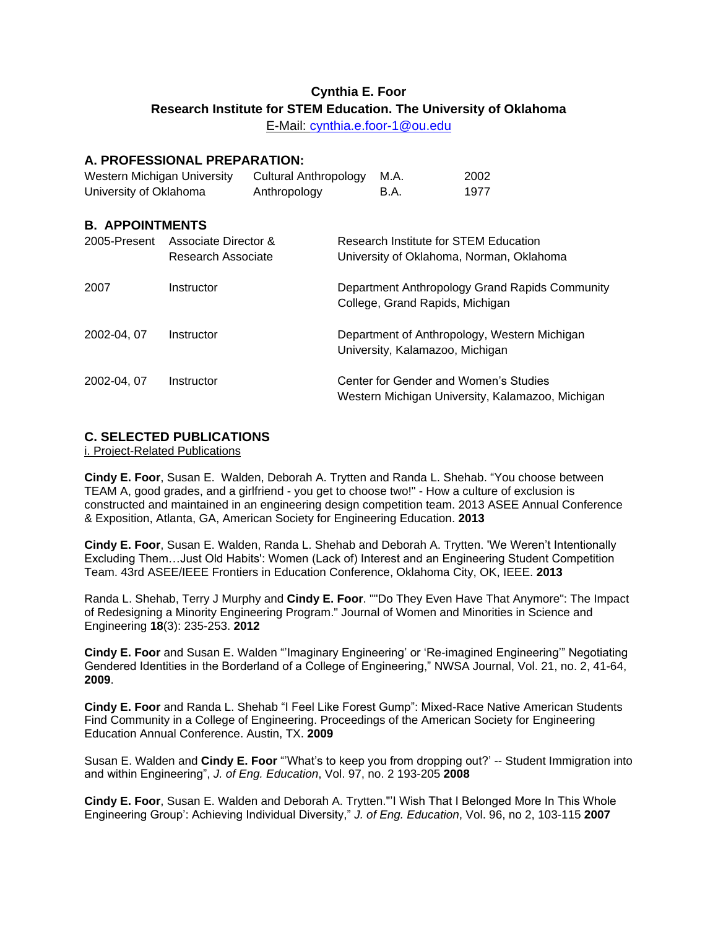# **Cynthia E. Foor Research Institute for STEM Education. The University of Oklahoma**

E-Mail: [cynthia.e.foor-1@ou.edu](mailto:cynthia.e.foor-1@ou.edu)

# **A. PROFESSIONAL PREPARATION:**

| Western Michigan University | Cultural Anthropology M.A. |        | 2002 |
|-----------------------------|----------------------------|--------|------|
| University of Oklahoma      | Anthropology               | - B.A. | 1977 |

## **B. APPOINTMENTS**

| 2005-Present | Associate Director &<br>Research Associate | Research Institute for STEM Education<br>University of Oklahoma, Norman, Oklahoma         |
|--------------|--------------------------------------------|-------------------------------------------------------------------------------------------|
| 2007         | Instructor                                 | Department Anthropology Grand Rapids Community<br>College, Grand Rapids, Michigan         |
| 2002-04, 07  | Instructor                                 | Department of Anthropology, Western Michigan<br>University, Kalamazoo, Michigan           |
| 2002-04, 07  | Instructor                                 | Center for Gender and Women's Studies<br>Western Michigan University, Kalamazoo, Michigan |

# **C. SELECTED PUBLICATIONS**

i. Project-Related Publications

**Cindy E. Foor**, Susan E. Walden, Deborah A. Trytten and Randa L. Shehab. "You choose between TEAM A, good grades, and a girlfriend - you get to choose two!" - How a culture of exclusion is constructed and maintained in an engineering design competition team. 2013 ASEE Annual Conference & Exposition, Atlanta, GA, American Society for Engineering Education. **2013**

**Cindy E. Foor**, Susan E. Walden, Randa L. Shehab and Deborah A. Trytten. 'We Weren't Intentionally Excluding Them…Just Old Habits': Women (Lack of) Interest and an Engineering Student Competition Team. 43rd ASEE/IEEE Frontiers in Education Conference, Oklahoma City, OK, IEEE. **2013**

Randa L. Shehab, Terry J Murphy and **Cindy E. Foor**. ""Do They Even Have That Anymore": The Impact of Redesigning a Minority Engineering Program." Journal of Women and Minorities in Science and Engineering **18**(3): 235-253. **2012**

**Cindy E. Foor** and Susan E. Walden "'Imaginary Engineering' or 'Re-imagined Engineering'" Negotiating Gendered Identities in the Borderland of a College of Engineering," NWSA Journal, Vol. 21, no. 2, 41-64, **2009**.

**Cindy E. Foor** and Randa L. Shehab "I Feel Like Forest Gump": Mixed-Race Native American Students Find Community in a College of Engineering. Proceedings of the American Society for Engineering Education Annual Conference. Austin, TX. **2009**

Susan E. Walden and **Cindy E. Foor** "'What's to keep you from dropping out?' -- Student Immigration into and within Engineering", *J. of Eng. Education*, Vol. 97, no. 2 193-205 **2008**

**Cindy E. Foor**, Susan E. Walden and Deborah A. Trytten."'I Wish That I Belonged More In This Whole Engineering Group': Achieving Individual Diversity," *J. of Eng. Education*, Vol. 96, no 2, 103-115 **2007**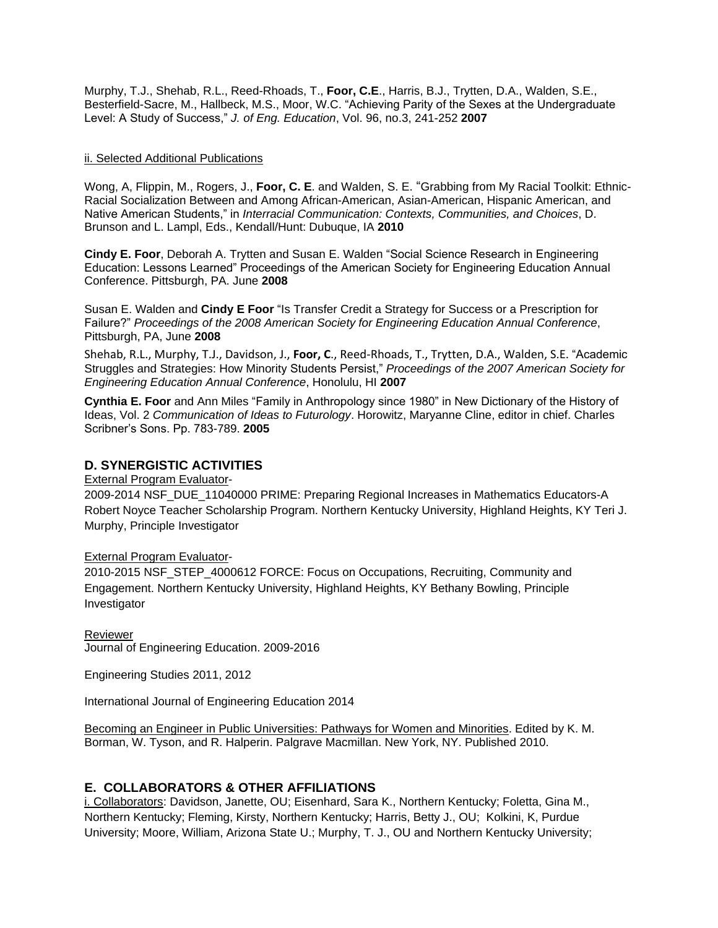Murphy, T.J., Shehab, R.L., Reed-Rhoads, T., **Foor, C.E**., Harris, B.J., Trytten, D.A., Walden, S.E., Besterfield-Sacre, M., Hallbeck, M.S., Moor, W.C. "Achieving Parity of the Sexes at the Undergraduate Level: A Study of Success," *J. of Eng. Education*, Vol. 96, no.3, 241-252 **2007**

#### ii. Selected Additional Publications

Wong, A, Flippin, M., Rogers, J., **Foor, C. E**. and Walden, S. E. "Grabbing from My Racial Toolkit: Ethnic-Racial Socialization Between and Among African-American, Asian-American, Hispanic American, and Native American Students," in *Interracial Communication: Contexts, Communities, and Choices*, D. Brunson and L. Lampl, Eds., Kendall/Hunt: Dubuque, IA **2010**

**Cindy E. Foor**, Deborah A. Trytten and Susan E. Walden "Social Science Research in Engineering Education: Lessons Learned" Proceedings of the American Society for Engineering Education Annual Conference. Pittsburgh, PA. June **2008**

Susan E. Walden and **Cindy E Foor** "Is Transfer Credit a Strategy for Success or a Prescription for Failure?" *Proceedings of the 2008 American Society for Engineering Education Annual Conference*, Pittsburgh, PA, June **2008**

Shehab, R.L., Murphy, T.J., Davidson, J., **Foor, C**., Reed-Rhoads, T., Trytten, D.A., Walden, S.E. "Academic Struggles and Strategies: How Minority Students Persist," *Proceedings of the 2007 American Society for Engineering Education Annual Conference*, Honolulu, HI **2007**

**Cynthia E. Foor** and Ann Miles "Family in Anthropology since 1980" in New Dictionary of the History of Ideas, Vol. 2 *Communication of Ideas to Futurology*. Horowitz, Maryanne Cline, editor in chief. Charles Scribner's Sons. Pp. 783-789. **2005**

### **D. SYNERGISTIC ACTIVITIES**

External Program Evaluator-

2009-2014 NSF\_DUE\_11040000 PRIME: Preparing Regional Increases in Mathematics Educators-A Robert Noyce Teacher Scholarship Program. Northern Kentucky University, Highland Heights, KY Teri J. Murphy, Principle Investigator

#### External Program Evaluator-

2010-2015 NSF\_STEP\_4000612 FORCE: Focus on Occupations, Recruiting, Community and Engagement. Northern Kentucky University, Highland Heights, KY Bethany Bowling, Principle Investigator

Reviewer Journal of Engineering Education. 2009-2016

Engineering Studies 2011, 2012

International Journal of Engineering Education 2014

Becoming an Engineer in Public Universities: Pathways for Women and Minorities. Edited by K. M. Borman, W. Tyson, and R. Halperin. Palgrave Macmillan. New York, NY. Published 2010.

# **E. COLLABORATORS & OTHER AFFILIATIONS**

i. Collaborators: Davidson, Janette, OU; Eisenhard, Sara K., Northern Kentucky; Foletta, Gina M., Northern Kentucky; Fleming, Kirsty, Northern Kentucky; Harris, Betty J., OU; Kolkini, K, Purdue University; Moore, William, Arizona State U.; Murphy, T. J., OU and Northern Kentucky University;